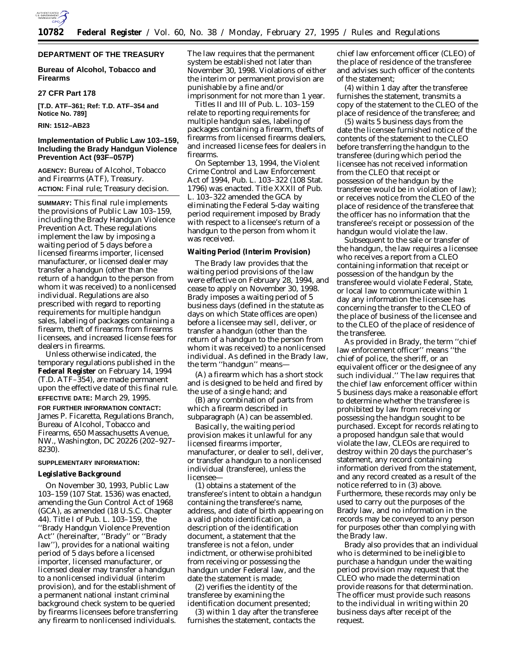

# **DEPARTMENT OF THE TREASURY**

**Bureau of Alcohol, Tobacco and Firearms**

## **27 CFR Part 178**

**[T.D. ATF–361; Ref: T.D. ATF–354 and Notice No. 789]**

# **RIN: 1512–AB23**

# **Implementation of Public Law 103–159, Including the Brady Handgun Violence Prevention Act (93F–057P)**

**AGENCY:** Bureau of Alcohol, Tobacco and Firearms (ATF), Treasury. **ACTION:** Final rule; Treasury decision.

**SUMMARY:** This final rule implements the provisions of Public Law 103–159, including the Brady Handgun Violence Prevention Act. These regulations implement the law by imposing a waiting period of 5 days before a licensed firearms importer, licensed manufacturer, or licensed dealer may transfer a handgun (other than the return of a handgun to the person from whom it was received) to a nonlicensed individual. Regulations are also prescribed with regard to reporting requirements for multiple handgun sales, labeling of packages containing a firearm, theft of firearms from firearms licensees, and increased license fees for dealers in firearms.

Unless otherwise indicated, the temporary regulations published in the **Federal Register** on February 14, 1994 (T.D. ATF–354), are made permanent upon the effective date of this final rule. **EFFECTIVE DATE:** March 29, 1995.

**FOR FURTHER INFORMATION CONTACT:** James P. Ficaretta, Regulations Branch, Bureau of Alcohol, Tobacco and Firearms, 650 Massachusetts Avenue, NW., Washington, DC 20226 (202–927– 8230).

### **SUPPLEMENTARY INFORMATION:**

# **Legislative Background**

On November 30, 1993, Public Law 103–159 (107 Stat. 1536) was enacted, amending the Gun Control Act of 1968 (GCA), as amended (18 U.S.C. Chapter 44). Title I of Pub. L. 103–159, the ''Brady Handgun Violence Prevention Act'' (hereinafter, ''Brady'' or ''Brady law''), provides for a national waiting period of 5 days before a licensed importer, licensed manufacturer, or licensed dealer may transfer a handgun to a nonlicensed individual (interim provision), and for the establishment of a permanent national instant criminal background check system to be queried by firearms licensees before transferring any firearm to nonlicensed individuals.

The law requires that the permanent system be established not later than November 30, 1998. Violations of either the interim or permanent provision are punishable by a fine and/or imprisonment for not more than 1 year.

Titles II and III of Pub. L. 103–159 relate to reporting requirements for multiple handgun sales, labeling of packages containing a firearm, thefts of firearms from licensed firearms dealers, and increased license fees for dealers in firearms.

On September 13, 1994, the Violent Crime Control and Law Enforcement Act of 1994, Pub. L. 103–322 (108 Stat. 1796) was enacted. Title XXXII of Pub. L. 103–322 amended the GCA by eliminating the Federal 5-day waiting period requirement imposed by Brady with respect to a licensee's return of a handgun to the person from whom it was received.

#### **Waiting Period (Interim Provision)**

The Brady law provides that the waiting period provisions of the law were effective on February 28, 1994, and cease to apply on November 30, 1998. Brady imposes a waiting period of 5 business days (defined in the statute as days on which State offices are open) before a licensee may sell, deliver, or transfer a handgun (other than the return of a handgun to the person from whom it was received) to a nonlicensed individual. As defined in the Brady law, the term ''handgun'' means—

(A) a firearm which has a short stock and is designed to be held and fired by the use of a single hand; and

(B) any combination of parts from which a firearm described in subparagraph (A) can be assembled.

Basically, the waiting period provision makes it unlawful for any licensed firearms importer, manufacturer, or dealer to sell, deliver, or transfer a handgun to a nonlicensed individual (transferee), unless the licensee—

(1) obtains a statement of the transferee's intent to obtain a handgun containing the transferee's name, address, and date of birth appearing on a valid photo identification, a description of the identification document, a statement that the transferee is not a felon, under indictment, or otherwise prohibited from receiving or possessing the handgun under Federal law, and the date the statement is made;

(2) verifies the identity of the transferee by examining the identification document presented;

(3) within 1 day after the transferee furnishes the statement, contacts the

chief law enforcement officer (CLEO) of the place of residence of the transferee and advises such officer of the contents of the statement;

(4) within 1 day after the transferee furnishes the statement, transmits a copy of the statement to the CLEO of the place of residence of the transferee; and

(5) waits 5 business days from the date the licensee furnished notice of the contents of the statement to the CLEO before transferring the handgun to the transferee (during which period the licensee has not received information from the CLEO that receipt or possession of the handgun by the transferee would be in violation of law); or receives notice from the CLEO of the place of residence of the transferee that the officer has no information that the transferee's receipt or possession of the handgun would violate the law.

Subsequent to the sale or transfer of the handgun, the law requires a licensee who receives a report from a CLEO containing information that receipt or possession of the handgun by the transferee would violate Federal, State, or local law to communicate within 1 day any information the licensee has concerning the transfer to the CLEO of the place of business of the licensee and to the CLEO of the place of residence of the transferee.

As provided in Brady, the term ''chief law enforcement officer'' means ''the chief of police, the sheriff, or an equivalent officer or the designee of any such individual.'' The law requires that the chief law enforcement officer within 5 business days make a reasonable effort to determine whether the transferee is prohibited by law from receiving or possessing the handgun sought to be purchased. Except for records relating to a proposed handgun sale that would violate the law, CLEOs are required to destroy within 20 days the purchaser's statement, any record containing information derived from the statement, and any record created as a result of the notice referred to in (3) above. Furthermore, these records may only be used to carry out the purposes of the Brady law, and no information in the records may be conveyed to any person for purposes other than complying with the Brady law.

Brady also provides that an individual who is determined to be ineligible to purchase a handgun under the waiting period provision may request that the CLEO who made the determination provide reasons for that determination. The officer must provide such reasons to the individual in writing within 20 business days after receipt of the request.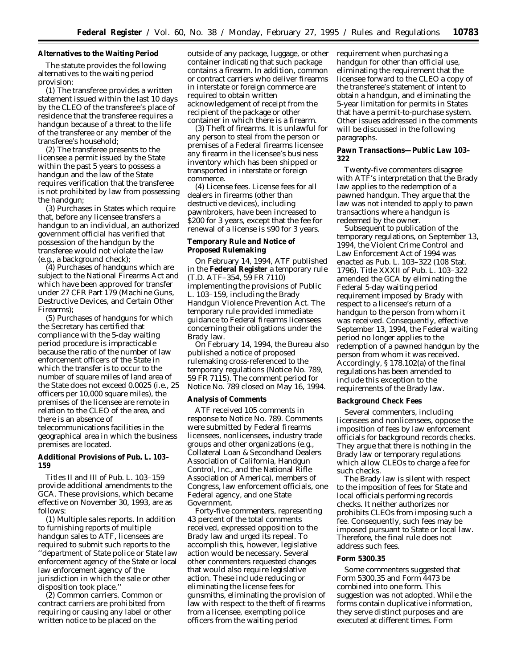# **Alternatives to the Waiting Period**

The statute provides the following alternatives to the waiting period provision:

(1) The transferee provides a written statement issued within the last 10 days by the CLEO of the transferee's place of residence that the transferee requires a handgun because of a threat to the life of the transferee or any member of the transferee's household;

(2) The transferee presents to the licensee a permit issued by the State within the past 5 years to possess a handgun and the law of the State requires verification that the transferee is not prohibited by law from possessing the handgun;

(3) Purchases in States which require that, before any licensee transfers a handgun to an individual, an authorized government official has verified that possession of the handgun by the transferee would not violate the law (e.g., a background check);

(4) Purchases of handguns which are subject to the National Firearms Act and which have been approved for transfer under 27 CFR Part 179 (Machine Guns, Destructive Devices, and Certain Other Firearms);

(5) Purchases of handguns for which the Secretary has certified that compliance with the 5-day waiting period procedure is impracticable because the ratio of the number of law enforcement officers of the State in which the transfer is to occur to the number of square miles of land area of the State does not exceed 0.0025 (i.e., 25 officers per 10,000 square miles), the premises of the licensee are remote in relation to the CLEO of the area, and there is an absence of telecommunications facilities in the geographical area in which the business premises are located.

**Additional Provisions of Pub. L. 103– 159**

Titles II and III of Pub. L. 103–159 provide additional amendments to the GCA. These provisions, which became effective on November 30, 1993, are as follows:

(1) *Multiple sales reports.* In addition to furnishing reports of multiple handgun sales to ATF, licensees are required to submit such reports to the ''department of State police or State law enforcement agency of the State or local law enforcement agency of the jurisdiction in which the sale or other disposition took place.''

(2) *Common carriers.* Common or contract carriers are prohibited from requiring or causing any label or other written notice to be placed on the

outside of any package, luggage, or other container indicating that such package contains a firearm. In addition, common or contract carriers who deliver firearms in interstate or foreign commerce are required to obtain written acknowledgement of receipt from the recipient of the package or other container in which there is a firearm.

(3) *Theft of firearms.* It is unlawful for any person to steal from the person or premises of a Federal firearms licensee any firearm in the licensee's business inventory which has been shipped or transported in interstate or foreign commerce.

(4) *License fees.* License fees for all dealers in firearms (other than destructive devices), including pawnbrokers, have been increased to \$200 for 3 years, except that the fee for renewal of a license is \$90 for 3 years.

## **Temporary Rule and Notice of Proposed Rulemaking**

On February 14, 1994, ATF published in the **Federal Register** a temporary rule (T.D. ATF–354, 59 FR 7110) implementing the provisions of Public L. 103–159, including the Brady Handgun Violence Prevention Act. The temporary rule provided immediate guidance to Federal firearms licensees concerning their obligations under the Brady law.

On February 14, 1994, the Bureau also published a notice of proposed rulemaking cross-referenced to the temporary regulations (Notice No. 789, 59 FR 7115). The comment period for Notice No. 789 closed on May 16, 1994.

## **Analysis of Comments**

ATF received 105 comments in response to Notice No. 789. Comments were submitted by Federal firearms licensees, nonlicensees, industry trade groups and other organizations (e.g., Collateral Loan & Secondhand Dealers Association of California, Handgun Control, Inc., and the National Rifle Association of America), members of Congress, law enforcement officials, one Federal agency, and one State Government.

Forty-five commenters, representing 43 percent of the total comments received, expressed opposition to the Brady law and urged its repeal. To accomplish this, however, legislative action would be necessary. Several other commenters requested changes that would also require legislative action. These include reducing or eliminating the license fees for gunsmiths, eliminating the provision of law with respect to the theft of firearms from a licensee, exempting police officers from the waiting period

requirement when purchasing a handgun for other than official use, eliminating the requirement that the licensee forward to the CLEO a copy of the transferee's statement of intent to obtain a handgun, and eliminating the 5-year limitation for permits in States that have a permit-to-purchase system. Other issues addressed in the comments will be discussed in the following paragraphs.

### **Pawn Transactions—Public Law 103– 322**

Twenty-five commenters disagree with ATF's interpretation that the Brady law applies to the redemption of a pawned handgun. They argue that the law was not intended to apply to pawn transactions where a handgun is redeemed by the owner.

Subsequent to publication of the temporary regulations, on September 13, 1994, the Violent Crime Control and Law Enforcement Act of 1994 was enacted as Pub. L. 103–322 (108 Stat. 1796). Title XXXII of Pub. L. 103–322 amended the GCA by eliminating the Federal 5-day waiting period requirement imposed by Brady with respect to a licensee's return of a handgun to the person from whom it was received. Consequently, effective September 13, 1994, the Federal waiting period no longer applies to the redemption of a pawned handgun by the person from whom it was received. Accordingly, § 178.102(a) of the final regulations has been amended to include this exception to the requirements of the Brady law.

## **Background Check Fees**

Several commenters, including licensees and nonlicensees, oppose the imposition of fees by law enforcement officials for background records checks. They argue that there is nothing in the Brady law or temporary regulations which allow CLEOs to charge a fee for such checks.

The Brady law is silent with respect to the imposition of fees for State and local officials performing records checks. It neither authorizes nor prohibits CLEOs from imposing such a fee. Consequently, such fees may be imposed pursuant to State or local law. Therefore, the final rule does not address such fees.

### **Form 5300.35**

Some commenters suggested that Form 5300.35 and Form 4473 be combined into one form. This suggestion was not adopted. While the forms contain duplicative information, they serve distinct purposes and are executed at different times. Form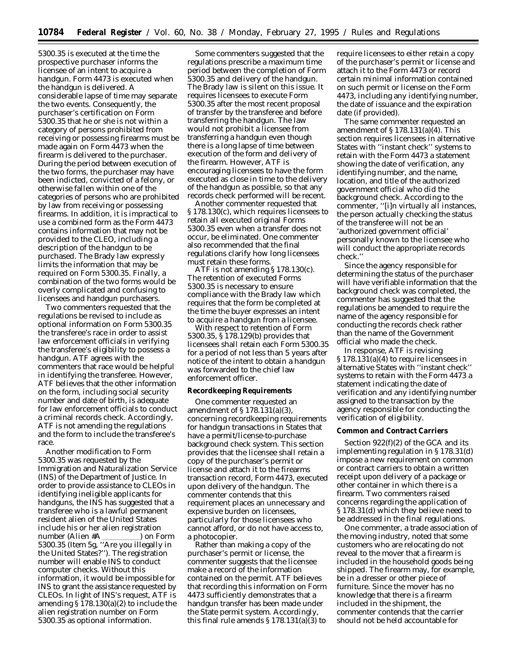5300.35 is executed at the time the prospective purchaser informs the licensee of an intent to acquire a handgun. Form 4473 is executed when the handgun is delivered. A considerable lapse of time may separate the two events. Consequently, the purchaser's certification on Form 5300.35 that he or she is not within a category of persons prohibited from receiving or possessing firearms must be made again on Form 4473 when the firearm is delivered to the purchaser. During the period between execution of the two forms, the purchaser may have been indicted, convicted of a felony, or otherwise fallen within one of the categories of persons who are prohibited by law from receiving or possessing firearms. In addition, it is impractical to use a combined form as the Form 4473 contains information that may not be provided to the CLEO, including a description of the handgun to be purchased. The Brady law expressly limits the information that may be required on Form 5300.35. Finally, a combination of the two forms would be overly complicated and confusing to licensees and handgun purchasers.

Two commenters requested that the regulations be revised to include as optional information on Form 5300.35 the transferee's race in order to assist law enforcement officials in verifying the transferee's eligibility to possess a handgun. ATF agrees with the commenters that race would be helpful in identifying the transferee. However, ATF believes that the other information on the form, including social security number and date of birth, is adequate for law enforcement officials to conduct a criminal records check. Accordingly, ATF is not amending the regulations and the form to include the transferee's race.

Another modification to Form 5300.35 was requested by the Immigration and Naturalization Service (INS) of the Department of Justice. In order to provide assistance to CLEOs in identifying ineligible applicants for handguns, the INS has suggested that a transferee who is a lawful permanent resident alien of the United States include his or her alien registration number (Alien #A loop Form 5300.35 (Item 5g, ''Are you illegally in the United States?''). The registration number will enable INS to conduct computer checks. Without this information, it would be impossible for INS to grant the assistance requested by CLEOs. In light of INS's request, ATF is amending  $\S 178.130(a)(2)$  to include the alien registration number on Form 5300.35 as optional information.

Some commenters suggested that the regulations prescribe a maximum time period between the completion of Form 5300.35 and delivery of the handgun. The Brady law is silent on this issue. It requires licensees to execute Form 5300.35 after the most recent proposal of transfer by the transferee and before transferring the handgun. The law would not prohibit a licensee from transferring a handgun even though there is a long lapse of time between execution of the form and delivery of the firearm. However, ATF is encouraging licensees to have the form executed as close in time to the delivery of the handgun as possible, so that any records check performed will be recent.

Another commenter requested that § 178.130(c), which requires licensees to retain all executed original Forms 5300.35 even when a transfer does not occur, be eliminated. One commenter also recommended that the final regulations clarify how long licensees must retain these forms.

ATF is not amending § 178.130(c). The retention of executed Forms 5300.35 is necessary to ensure compliance with the Brady law which requires that the form be completed at the time the buyer expresses an intent to acquire a handgun from a licensee.

With respect to retention of Form 5300.35, § 178.129(b) provides that licensees shall retain each Form 5300.35 for a period of not less than 5 years after notice of the intent to obtain a handgun was forwarded to the chief law enforcement officer.

#### **Recordkeeping Requirements**

One commenter requested an amendment of § 178.131(a)(3), concerning recordkeeping requirements for handgun transactions in States that have a permit/license-to-purchase background check system. This section provides that the licensee shall retain a copy of the purchaser's permit or license and attach it to the firearms transaction record, Form 4473, executed upon delivery of the handgun. The commenter contends that this requirement places an unnecessary and expensive burden on licensees, particularly for those licensees who cannot afford, or do not have access to, a photocopier.

Rather than making a copy of the purchaser's permit or license, the commenter suggests that the licensee make a record of the information contained on the permit. ATF believes that recording this information on Form 4473 sufficiently demonstrates that a handgun transfer has been made under the State permit system. Accordingly, this final rule amends  $\S 178.131(a)(3)$  to

require licensees to either retain a copy of the purchaser's permit or license and attach it to the Form 4473 or record certain minimal information contained on such permit or license on the Form 4473, including any identifying number, the date of issuance and the expiration date (if provided).

The same commenter requested an amendment of  $\S 178.131(a)(4)$ . This section requires licensees in alternative States with ''instant check'' systems to retain with the Form 4473 a statement showing the date of verification, any identifying number, and the name, location, and title of the authorized government official who did the background check. According to the commenter, ''[i]n virtually all instances, the person actually checking the status of the transferee will not be an 'authorized government official' personally known to the licensee who will conduct the appropriate records check.''

Since the agency responsible for determining the status of the purchaser will have verifiable information that the background check was completed, the commenter has suggested that the regulations be amended to require the name of the agency responsible for conducting the records check rather than the name of the Government official who made the check.

In response, ATF is revising § 178.131(a)(4) to require licensees in alternative States with ''instant check'' systems to retain with the Form 4473 a statement indicating the date of verification and any identifying number assigned to the transaction by the agency responsible for conducting the verification of eligibility.

# **Common and Contract Carriers**

Section 922(f)(2) of the GCA and its implementing regulation in § 178.31(d) impose a new requirement on common or contract carriers to obtain a written receipt upon delivery of a package or other container in which there is a firearm. Two commenters raised concerns regarding the application of § 178.31(d) which they believe need to be addressed in the final regulations.

One commenter, a trade association of the moving industry, noted that some customers who are relocating do not reveal to the mover that a firearm is included in the household goods being shipped. The firearm may, for example, be in a dresser or other piece of furniture. Since the mover has no knowledge that there is a firearm included in the shipment, the commenter contends that the carrier should not be held accountable for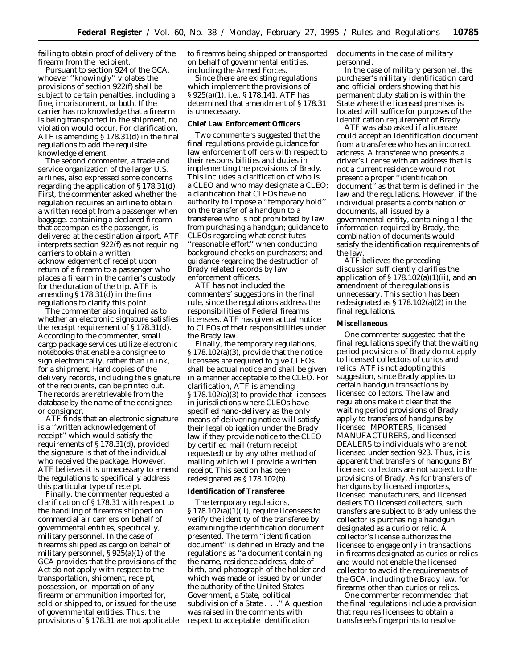failing to obtain proof of delivery of the firearm from the recipient.

Pursuant to section 924 of the GCA, whoever ''knowingly'' violates the provisions of section 922(f) shall be subject to certain penalties, including a fine, imprisonment, or both. If the carrier has no knowledge that a firearm is being transported in the shipment, no violation would occur. For clarification, ATF is amending § 178.31(d) in the final regulations to add the requisite knowledge element.

The second commenter, a trade and service organization of the larger U.S. airlines, also expressed some concerns regarding the application of § 178.31(d). First, the commenter asked whether the regulation requires an airline to obtain a written receipt from a passenger when baggage, containing a declared firearm that accompanies the passenger, is delivered at the destination airport. ATF interprets section 922(f) as not requiring carriers to obtain a written acknowledgement of receipt upon return of a firearm to a passenger who places a firearm in the carrier's custody for the duration of the trip. ATF is amending § 178.31(d) in the final regulations to clarify this point.

The commenter also inquired as to whether an electronic signature satisfies the receipt requirement of § 178.31(d). According to the commenter, small cargo package services utilize electronic notebooks that enable a consignee to sign electronically, rather than in ink, for a shipment. Hard copies of the delivery records, including the signature of the recipients, can be printed out. The records are retrievable from the database by the name of the consignee or consignor.

ATF finds that an electronic signature is a ''written acknowledgement of receipt'' which would satisfy the requirements of § 178.31(d), provided the signature is that of the individual who received the package. However, ATF believes it is unnecessary to amend the regulations to specifically address this particular type of receipt.

Finally, the commenter requested a clarification of § 178.31 with respect to the handling of firearms shipped on commercial air carriers on behalf of governmental entities, specifically, military personnel. In the case of firearms shipped as cargo on behalf of military personnel, § 925(a)(1) of the GCA provides that the provisions of the Act do not apply with respect to the transportation, shipment, receipt, possession, or importation of any firearm or ammunition imported for, sold or shipped to, or issued for the use of governmental entities. Thus, the provisions of § 178.31 are not applicable to firearms being shipped or transported on behalf of governmental entities, including the Armed Forces.

Since there are existing regulations which implement the provisions of § 925(a)(1), i.e., § 178.141, ATF has determined that amendment of § 178.31 is unnecessary.

#### **Chief Law Enforcement Officers**

Two commenters suggested that the final regulations provide guidance for law enforcement officers with respect to their responsibilities and duties in implementing the provisions of Brady. This includes a clarification of who is a CLEO and who may designate a CLEO; a clarification that CLEOs have no authority to impose a ''temporary hold'' on the transfer of a handgun to a transferee who is not prohibited by law from purchasing a handgun; guidance to CLEOs regarding what constitutes ''reasonable effort'' when conducting background checks on purchasers; and guidance regarding the destruction of Brady related records by law enforcement officers.

ATF has not included the commenters' suggestions in the final rule, since the regulations address the responsibilities of Federal firearms licensees. ATF has given actual notice to CLEOs of their responsibilities under the Brady law.

Finally, the temporary regulations, § 178.102(a)(3), provide that the notice licensees are required to give CLEOs shall be actual notice and shall be given in a manner acceptable to the CLEO. For clarification, ATF is amending § 178.102(a)(3) to provide that licensees in jurisdictions where CLEOs have specified hand-delivery as the only means of delivering notice will satisfy their legal obligation under the Brady law if they provide notice to the CLEO by certified mail (return receipt requested) or by any other method of mailing which will provide a written receipt. This section has been redesignated as § 178.102(b).

## **Identification of Transferee**

The temporary regulations, § 178.102(a)(1)(ii), require licensees to verify the identity of the transferee by examining the identification document presented. The term ''identification document'' is defined in Brady and the regulations as ''a document containing the name, residence address, date of birth, and photograph of the holder and which was made or issued by or under the authority of the United States Government, a State, political subdivision of a State . . .'' A question was raised in the comments with respect to acceptable identification

documents in the case of military personnel.

In the case of military personnel, the purchaser's military identification card and official orders showing that his permanent duty station is within the State where the licensed premises is located will suffice for purposes of the identification requirement of Brady.

ATF was also asked if a licensee could accept an identification document from a transferee who has an incorrect address. A transferee who presents a driver's license with an address that is not a current residence would not present a proper ''identification document'' as that term is defined in the law and the regulations. However, if the individual presents a combination of documents, all issued by a governmental entity, containing all the information required by Brady, the combination of documents would satisfy the identification requirements of the law.

ATF believes the preceding discussion sufficiently clarifies the application of  $\S 178.102(a)(1)(ii)$ , and an amendment of the regulations is unnecessary. This section has been redesignated as  $\S 178.102(a)(2)$  in the final regulations.

# **Miscellaneous**

One commenter suggested that the final regulations specify that the waiting period provisions of Brady do not apply to licensed collectors of curios and relics. ATF is not adopting this suggestion, since Brady applies to certain handgun transactions by licensed collectors. The law and regulations make it clear that the waiting period provisions of Brady apply to transfers of handguns by licensed IMPORTERS, licensed MANUFACTURERS, and licensed DEALERS to individuals who are not licensed under section 923. Thus, it is apparent that transfers of handguns BY licensed collectors are not subject to the provisions of Brady. As for transfers of handguns by licensed importers, licensed manufacturers, and licensed dealers TO licensed collectors, such transfers are subject to Brady unless the collector is purchasing a handgun designated as a curio or relic. A collector's license authorizes the licensee to engage only in transactions in firearms designated as curios or relics and would not enable the licensed collector to avoid the requirements of the GCA, including the Brady law, for firearms other than curios or relics.

One commenter recommended that the final regulations include a provision that requires licensees to obtain a transferee's fingerprints to resolve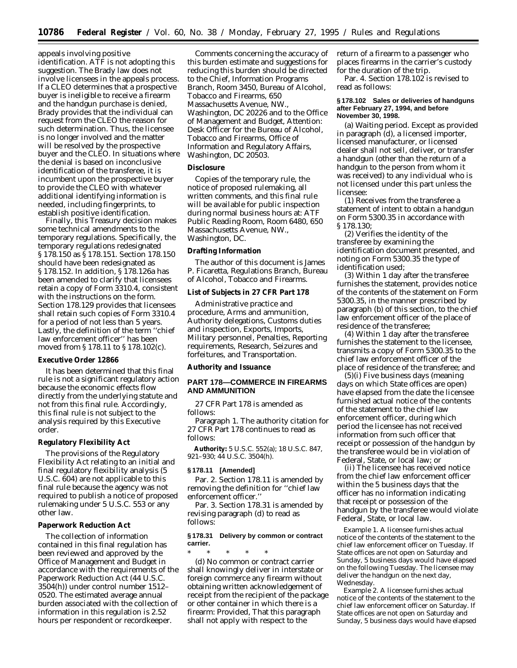appeals involving positive identification. ATF is not adopting this suggestion. The Brady law does not involve licensees in the appeals process. If a CLEO determines that a prospective buyer is ineligible to receive a firearm and the handgun purchase is denied, Brady provides that the individual can request from the CLEO the reason for such determination. Thus, the licensee is no longer involved and the matter will be resolved by the prospective buyer and the CLEO. In situations where the denial is based on inconclusive identification of the transferee, it is incumbent upon the prospective buyer to provide the CLEO with whatever additional identifying information is needed, including fingerprints, to establish positive identification.

Finally, this Treasury decision makes some technical amendments to the temporary regulations. Specifically, the temporary regulations redesignated § 178.150 as § 178.151. Section 178.150 should have been redesignated as § 178.152. In addition, § 178.126a has been amended to clarify that licensees retain a copy of Form 3310.4, consistent with the instructions on the form. Section 178.129 provides that licensees shall retain such copies of Form 3310.4 for a period of not less than 5 years. Lastly, the definition of the term ''chief law enforcement officer'' has been moved from § 178.11 to § 178.102(c).

#### **Executive Order 12866**

It has been determined that this final rule is not a significant regulatory action because the economic effects flow directly from the underlying statute and not from this final rule. Accordingly, this final rule is not subject to the analysis required by this Executive order.

### **Regulatory Flexibility Act**

The provisions of the Regulatory Flexibility Act relating to an initial and final regulatory flexibility analysis (5 U.S.C. 604) are not applicable to this final rule because the agency was not required to publish a notice of proposed rulemaking under 5 U.S.C. 553 or any other law.

## **Paperwork Reduction Act**

The collection of information contained in this final regulation has been reviewed and approved by the Office of Management and Budget in accordance with the requirements of the Paperwork Reduction Act (44 U.S.C. 3504(h)) under control number 1512– 0520. The estimated average annual burden associated with the collection of information in this regulation is 2.52 hours per respondent or recordkeeper.

Comments concerning the accuracy of this burden estimate and suggestions for reducing this burden should be directed to the Chief, Information Programs Branch, Room 3450, Bureau of Alcohol, Tobacco and Firearms, 650 Massachusetts Avenue, NW., Washington, DC 20226 and to the Office of Management and Budget, Attention: Desk Officer for the Bureau of Alcohol, Tobacco and Firearms, Office of Information and Regulatory Affairs, Washington, DC 20503.

### **Disclosure**

Copies of the temporary rule, the notice of proposed rulemaking, all written comments, and this final rule will be available for public inspection during normal business hours at: ATF Public Reading Room, Room 6480, 650 Massachusetts Avenue, NW., Washington, DC.

## **Drafting Information**

The author of this document is James P. Ficaretta, Regulations Branch, Bureau of Alcohol, Tobacco and Firearms.

**List of Subjects in 27 CFR Part 178**

Administrative practice and procedure, Arms and ammunition, Authority delegations, Customs duties and inspection, Exports, Imports, Military personnel, Penalties, Reporting requirements, Research, Seizures and forfeitures, and Transportation.

**Authority and Issuance**

# **PART 178—COMMERCE IN FIREARMS AND AMMUNITION**

27 CFR Part 178 is amended as follows:

Paragraph 1. The authority citation for 27 CFR Part 178 continues to read as follows:

**Authority:** 5 U.S.C. 552(a); 18 U.S.C. 847, 921–930; 44 U.S.C. 3504(h).

#### **§ 178.11 [Amended]**

Par. 2. Section 178.11 is amended by removing the definition for ''chief law enforcement officer.''

Par. 3. Section 178.31 is amended by revising paragraph (d) to read as follows:

## **§ 178.31 Delivery by common or contract carrier.**

\* \* \* \* \* (d) No common or contract carrier shall knowingly deliver in interstate or foreign commerce any firearm without obtaining written acknowledgement of receipt from the recipient of the package or other container in which there is a firearm: *Provided,* That this paragraph shall not apply with respect to the

return of a firearm to a passenger who places firearms in the carrier's custody for the duration of the trip.

Par. 4. Section 178.102 is revised to read as follows:

### **§ 178.102 Sales or deliveries of handguns after February 27, 1994, and before November 30, 1998.**

(a) *Waiting period.* Except as provided in paragraph (d), a licensed importer, licensed manufacturer, or licensed dealer shall not sell, deliver, or transfer a handgun (other than the return of a handgun to the person from whom it was received) to any individual who is not licensed under this part unless the licensee:

(1) Receives from the transferee a statement of intent to obtain a handgun on Form 5300.35 in accordance with § 178.130;

(2) Verifies the identity of the transferee by examining the identification document presented, and noting on Form 5300.35 the type of identification used;

(3) Within 1 day after the transferee furnishes the statement, provides notice of the contents of the statement on Form 5300.35, in the manner prescribed by paragraph (b) of this section, to the chief law enforcement officer of the place of residence of the transferee;

(4) Within 1 day after the transferee furnishes the statement to the licensee, transmits a copy of Form 5300.35 to the chief law enforcement officer of the place of residence of the transferee; and

(5)(i) Five business days (meaning days on which State offices are open) have elapsed from the date the licensee furnished actual notice of the contents of the statement to the chief law enforcement officer, during which period the licensee has not received information from such officer that receipt or possession of the handgun by the transferee would be in violation of Federal, State, or local law; or

(ii) The licensee has received notice from the chief law enforcement officer within the 5 business days that the officer has no information indicating that receipt or possession of the handgun by the transferee would violate Federal, State, or local law.

*Example 1.* A licensee furnishes actual notice of the contents of the statement to the chief law enforcement officer on Tuesday. If State offices are not open on Saturday and Sunday, 5 business days would have elapsed on the following Tuesday. The licensee may deliver the handgun on the next day, Wednesday.

*Example 2.* A licensee furnishes actual notice of the contents of the statement to the chief law enforcement officer on Saturday. If State offices are not open on Saturday and Sunday, 5 business days would have elapsed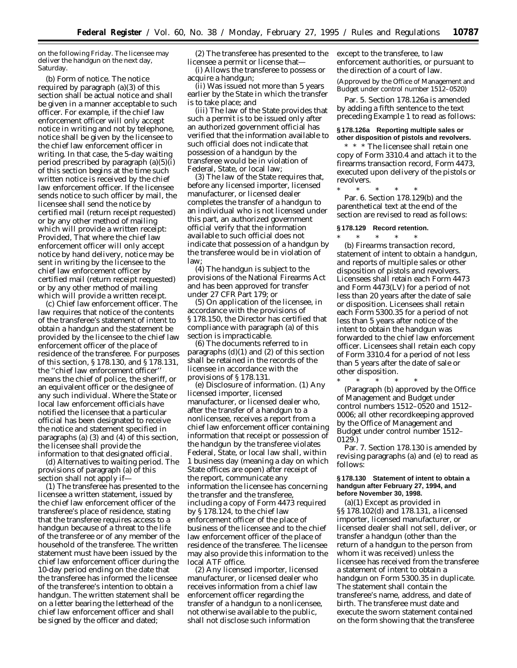on the following Friday. The licensee may deliver the handgun on the next day, Saturday.

(b) *Form of notice.* The notice required by paragraph (a)(3) of this section shall be actual notice and shall be given in a manner acceptable to such officer. For example, if the chief law enforcement officer will only accept notice in writing and not by telephone, notice shall be given by the licensee to the chief law enforcement officer in writing. In that case, the 5-day waiting period prescribed by paragraph (a)(5)(i) of this section begins at the time such written notice is received by the chief law enforcement officer. If the licensee sends notice to such officer by mail, the licensee shall send the notice by certified mail (return receipt requested) or by any other method of mailing which will provide a written receipt: Provided, That where the chief law enforcement officer will only accept notice by hand delivery, notice may be sent in writing by the licensee to the chief law enforcement officer by certified mail (return receipt requested) or by any other method of mailing which will provide a written receipt.

(c) *Chief law enforcement officer.* The law requires that notice of the contents of the transferee's statement of intent to obtain a handgun and the statement be provided by the licensee to the chief law enforcement officer of the place of residence of the transferee. For purposes of this section, § 178.130, and § 178.131, the ''chief law enforcement officer'' means the chief of police, the sheriff, or an equivalent officer or the designee of any such individual. Where the State or local law enforcement officials have notified the licensee that a particular official has been designated to receive the notice and statement specified in paragraphs (a) (3) and (4) of this section, the licensee shall provide the information to that designated official.

(d) *Alternatives to waiting period.* The provisions of paragraph (a) of this section shall not apply if—

(1) The transferee has presented to the licensee a written statement, issued by the chief law enforcement officer of the transferee's place of residence, stating that the transferee requires access to a handgun because of a threat to the life of the transferee or of any member of the household of the transferee. The written statement must have been issued by the chief law enforcement officer during the 10-day period ending on the date that the transferee has informed the licensee of the transferee's intention to obtain a handgun. The written statement shall be on a letter bearing the letterhead of the chief law enforcement officer and shall be signed by the officer and dated;

(2) The transferee has presented to the licensee a permit or license that—

(i) Allows the transferee to possess or acquire a handgun;

(ii) Was issued not more than 5 years earlier by the State in which the transfer is to take place; and

(iii) The law of the State provides that such a permit is to be issued only after an authorized government official has verified that the information available to such official does not indicate that possession of a handgun by the transferee would be in violation of Federal, State, or local law;

(3) The law of the State requires that, before any licensed importer, licensed manufacturer, or licensed dealer completes the transfer of a handgun to an individual who is not licensed under this part, an authorized government official verify that the information available to such official does not indicate that possession of a handgun by the transferee would be in violation of law;

(4) The handgun is subject to the provisions of the National Firearms Act and has been approved for transfer under 27 CFR Part 179; or

(5) On application of the licensee, in accordance with the provisions of § 178.150, the Director has certified that compliance with paragraph (a) of this section is impracticable.

(6) The documents referred to in paragraphs (d)(1) and (2) of this section shall be retained in the records of the licensee in accordance with the provisions of § 178.131.

(e) *Disclosure of information.* (1) Any licensed importer, licensed manufacturer, or licensed dealer who, after the transfer of a handgun to a nonlicensee, receives a report from a chief law enforcement officer containing information that receipt or possession of the handgun by the transferee violates Federal, State, or local law shall, within 1 business day (meaning a day on which State offices are open) after receipt of the report, communicate any information the licensee has concerning the transfer and the transferee, including a copy of Form 4473 required by § 178.124, to the chief law enforcement officer of the place of business of the licensee and to the chief law enforcement officer of the place of residence of the transferee. The licensee may also provide this information to the local ATF office.

(2) Any licensed importer, licensed manufacturer, or licensed dealer who receives information from a chief law enforcement officer regarding the transfer of a handgun to a nonlicensee, not otherwise available to the public, shall not disclose such information

except to the transferee, to law enforcement authorities, or pursuant to the direction of a court of law.

(Approved by the Office of Management and Budget under control number 1512–0520)

Par. 5. Section 178.126a is amended by adding a fifth sentence to the text preceding Example 1 to read as follows:

#### **§ 178.126a Reporting multiple sales or other disposition of pistols and revolvers.**

\* \* \* The licensee shall retain one copy of Form 3310.4 and attach it to the firearms transaction record, Form 4473, executed upon delivery of the pistols or revolvers.

\* \* \* \* \* Par. 6. Section 178.129(b) and the parenthetical text at the end of the section are revised to read as follows:

#### **§ 178.129 Record retention.** \* \* \* \* \*

(b) *Firearms transaction record, statement of intent to obtain a handgun, and reports of multiple sales or other disposition of pistols and revolvers.* Licensees shall retain each Form 4473 and Form 4473(LV) for a period of not less than 20 years after the date of sale or disposition. Licensees shall retain each Form 5300.35 for a period of not less than 5 years after notice of the intent to obtain the handgun was forwarded to the chief law enforcement officer. Licensees shall retain each copy of Form 3310.4 for a period of not less than 5 years after the date of sale or other disposition.

\* \* \* \* \* (Paragraph (b) approved by the Office of Management and Budget under control numbers 1512–0520 and 1512– 0006; all other recordkeeping approved by the Office of Management and Budget under control number 1512– 0129.)

Par. 7. Section 178.130 is amended by revising paragraphs (a) and (e) to read as follows:

### **§ 178.130 Statement of intent to obtain a handgun after February 27, 1994, and before November 30, 1998.**

(a)(1) Except as provided in §§ 178.102(d) and 178.131, a licensed importer, licensed manufacturer, or licensed dealer shall not sell, deliver, or transfer a handgun (other than the return of a handgun to the person from whom it was received) unless the licensee has received from the transferee a statement of intent to obtain a handgun on Form 5300.35 in duplicate. The statement shall contain the transferee's name, address, and date of birth. The transferee must date and execute the sworn statement contained on the form showing that the transferee